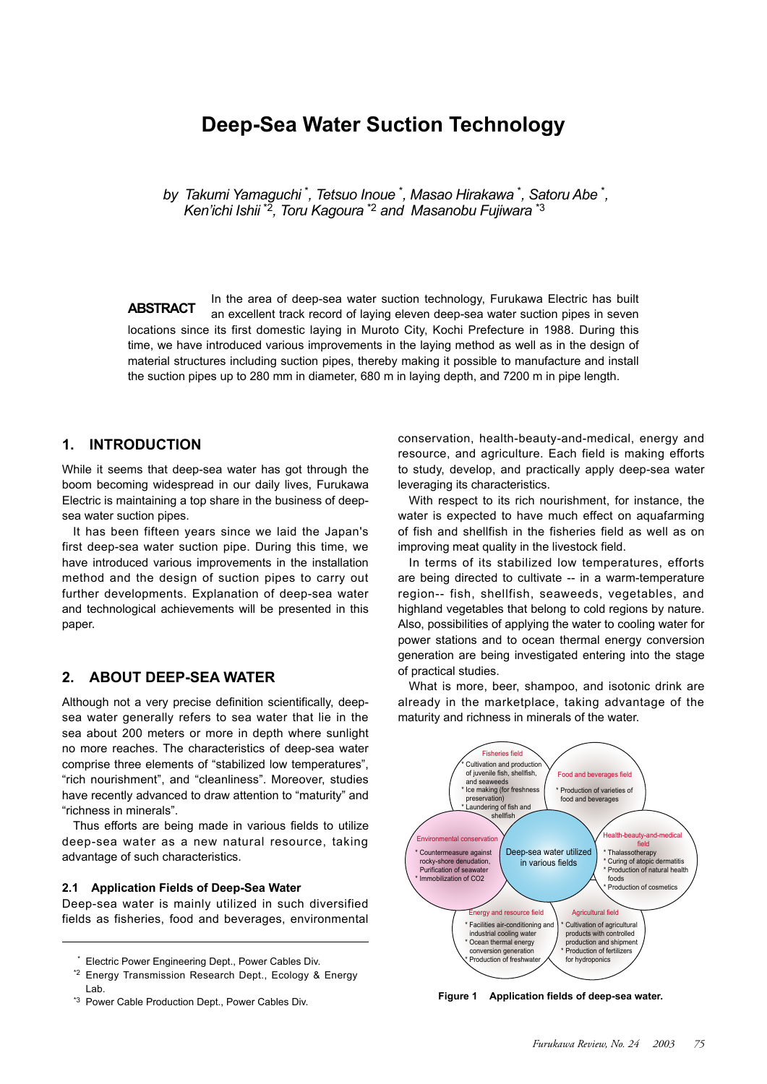# **Deep-Sea Water Suction Technology**

*by Takumi Yamaguchi* \* *, Tetsuo Inoue* \* *, Masao Hirakawa* \* *, Satoru Abe* \* *, Ken'ichi Ishii* \*2*, Toru Kagoura* \*2 *and Masanobu Fujiwara* \*3

In the area of deep-sea water suction technology, Furukawa Electric has built an excellent track record of laying eleven deep-sea water suction pipes in seven locations since its first domestic laying in Muroto City, Kochi Prefecture in 1988. During this time, we have introduced various improvements in the laying method as well as in the design of material structures including suction pipes, thereby making it possible to manufacture and install the suction pipes up to 280 mm in diameter, 680 m in laying depth, and 7200 m in pipe length. **ABSTRACT**

# **1. INTRODUCTION**

While it seems that deep-sea water has got through the boom becoming widespread in our daily lives, Furukawa Electric is maintaining a top share in the business of deepsea water suction pipes.

It has been fifteen years since we laid the Japan's first deep-sea water suction pipe. During this time, we have introduced various improvements in the installation method and the design of suction pipes to carry out further developments. Explanation of deep-sea water and technological achievements will be presented in this paper.

# **2. ABOUT DEEP-SEA WATER**

Although not a very precise definition scientifically, deepsea water generally refers to sea water that lie in the sea about 200 meters or more in depth where sunlight no more reaches. The characteristics of deep-sea water comprise three elements of "stabilized low temperatures", "rich nourishment", and "cleanliness". Moreover, studies have recently advanced to draw attention to "maturity" and "richness in minerals".

Thus efforts are being made in various fields to utilize deep-sea water as a new natural resource, taking advantage of such characteristics.

### **2.1 Application Fields of Deep-Sea Water**

Deep-sea water is mainly utilized in such diversified fields as fisheries, food and beverages, environmental

conservation, health-beauty-and-medical, energy and resource, and agriculture. Each field is making efforts to study, develop, and practically apply deep-sea water leveraging its characteristics.

With respect to its rich nourishment, for instance, the water is expected to have much effect on aquafarming of fish and shellfish in the fisheries field as well as on improving meat quality in the livestock field.

In terms of its stabilized low temperatures, efforts are being directed to cultivate -- in a warm-temperature region-- fish, shellfish, seaweeds, vegetables, and highland vegetables that belong to cold regions by nature. Also, possibilities of applying the water to cooling water for power stations and to ocean thermal energy conversion generation are being investigated entering into the stage of practical studies.

What is more, beer, shampoo, and isotonic drink are already in the marketplace, taking advantage of the maturity and richness in minerals of the water.



Electric Power Engineering Dept., Power Cables Div.

\*2 Energy Transmission Research Dept., Ecology & Energy Lab.

\*3 Power Cable Production Dept., Power Cables Div. **Figure 1 Application fields of deep-sea water.**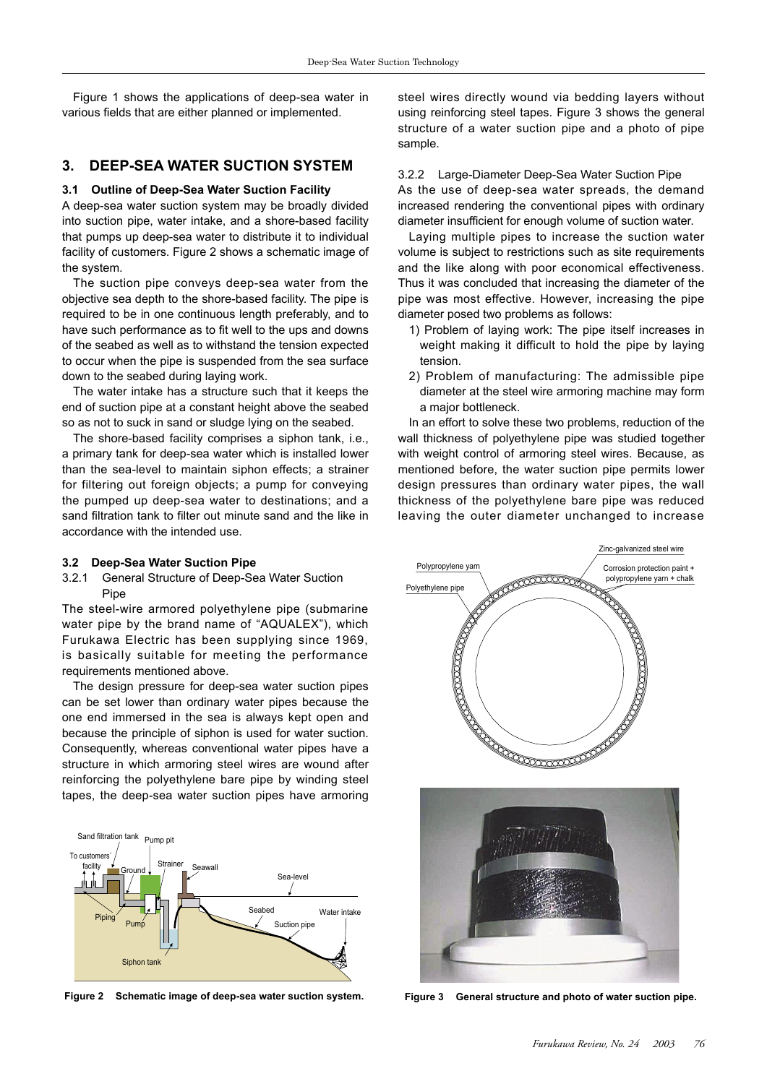Figure 1 shows the applications of deep-sea water in various fields that are either planned or implemented.

# **3. DEEP-SEA WATER SUCTION SYSTEM**

### **3.1 Outline of Deep-Sea Water Suction Facility**

A deep-sea water suction system may be broadly divided into suction pipe, water intake, and a shore-based facility that pumps up deep-sea water to distribute it to individual facility of customers. Figure 2 shows a schematic image of the system.

The suction pipe conveys deep-sea water from the objective sea depth to the shore-based facility. The pipe is required to be in one continuous length preferably, and to have such performance as to fit well to the ups and downs of the seabed as well as to withstand the tension expected to occur when the pipe is suspended from the sea surface down to the seabed during laying work.

The water intake has a structure such that it keeps the end of suction pipe at a constant height above the seabed so as not to suck in sand or sludge lying on the seabed.

The shore-based facility comprises a siphon tank, i.e., a primary tank for deep-sea water which is installed lower than the sea-level to maintain siphon effects; a strainer for filtering out foreign objects; a pump for conveying the pumped up deep-sea water to destinations; and a sand filtration tank to filter out minute sand and the like in accordance with the intended use.

### **3.2 Deep-Sea Water Suction Pipe**

### 3.2.1 General Structure of Deep-Sea Water Suction Pine

The steel-wire armored polyethylene pipe (submarine water pipe by the brand name of "AQUALEX"), which Furukawa Electric has been supplying since 1969, is basically suitable for meeting the performance requirements mentioned above.

The design pressure for deep-sea water suction pipes can be set lower than ordinary water pipes because the one end immersed in the sea is always kept open and because the principle of siphon is used for water suction. Consequently, whereas conventional water pipes have a structure in which armoring steel wires are wound after reinforcing the polyethylene bare pipe by winding steel tapes, the deep-sea water suction pipes have armoring



**Figure 2 Schematic image of deep-sea water suction system.**

steel wires directly wound via bedding layers without using reinforcing steel tapes. Figure 3 shows the general structure of a water suction pipe and a photo of pipe sample.

3.2.2 Large-Diameter Deep-Sea Water Suction Pipe As the use of deep-sea water spreads, the demand increased rendering the conventional pipes with ordinary diameter insufficient for enough volume of suction water.

Laying multiple pipes to increase the suction water volume is subject to restrictions such as site requirements and the like along with poor economical effectiveness. Thus it was concluded that increasing the diameter of the pipe was most effective. However, increasing the pipe diameter posed two problems as follows:

- 1) Problem of laying work: The pipe itself increases in weight making it difficult to hold the pipe by laying tension.
- 2) Problem of manufacturing: The admissible pipe diameter at the steel wire armoring machine may form a major bottleneck.

In an effort to solve these two problems, reduction of the wall thickness of polyethylene pipe was studied together with weight control of armoring steel wires. Because, as mentioned before, the water suction pipe permits lower design pressures than ordinary water pipes, the wall thickness of the polyethylene bare pipe was reduced leaving the outer diameter unchanged to increase



**Figure 3 General structure and photo of water suction pipe.**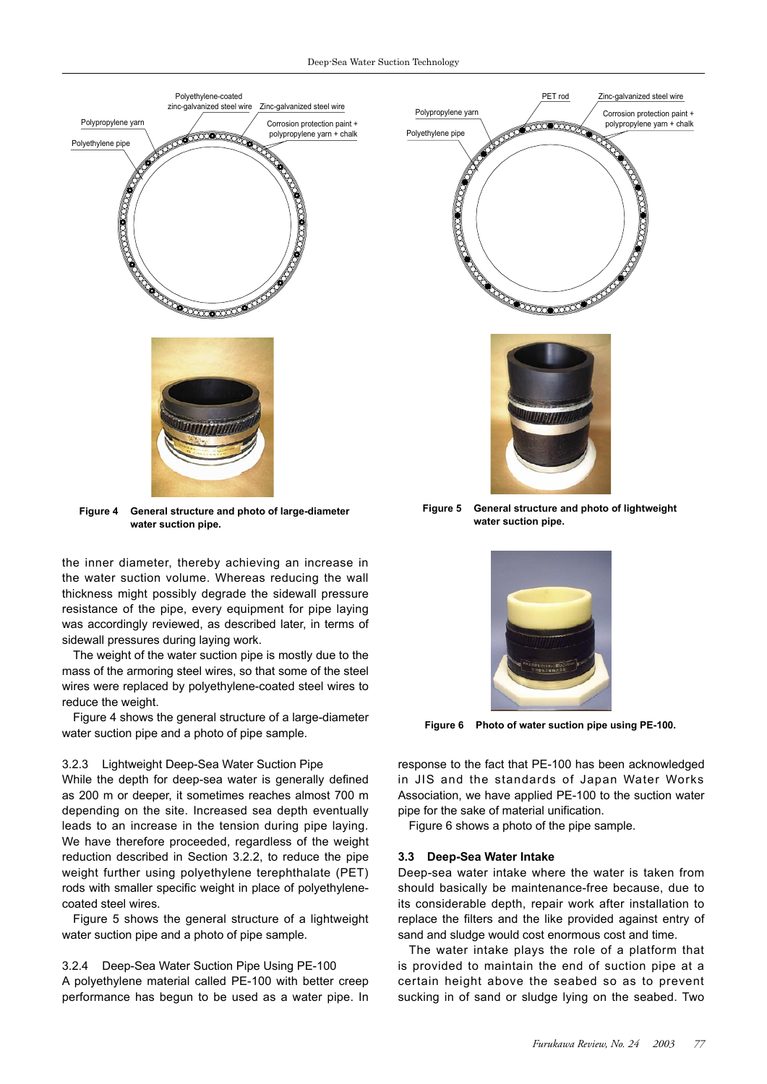

**water suction pipe.**

the inner diameter, thereby achieving an increase in the water suction volume. Whereas reducing the wall thickness might possibly degrade the sidewall pressure resistance of the pipe, every equipment for pipe laying was accordingly reviewed, as described later, in terms of sidewall pressures during laying work.

The weight of the water suction pipe is mostly due to the mass of the armoring steel wires, so that some of the steel wires were replaced by polyethylene-coated steel wires to reduce the weight.

Figure 4 shows the general structure of a large-diameter water suction pipe and a photo of pipe sample.

#### 3.2.3 Lightweight Deep-Sea Water Suction Pipe

While the depth for deep-sea water is generally defined as 200 m or deeper, it sometimes reaches almost 700 m depending on the site. Increased sea depth eventually leads to an increase in the tension during pipe laying. We have therefore proceeded, regardless of the weight reduction described in Section 3.2.2, to reduce the pipe weight further using polyethylene terephthalate (PET) rods with smaller specific weight in place of polyethylenecoated steel wires.

Figure 5 shows the general structure of a lightweight water suction pipe and a photo of pipe sample.

3.2.4 Deep-Sea Water Suction Pipe Using PE-100 A polyethylene material called PE-100 with better creep performance has begun to be used as a water pipe. In

**water suction pipe.**



**Figure 6 Photo of water suction pipe using PE-100.**

response to the fact that PE-100 has been acknowledged in JIS and the standards of Japan Water Works Association, we have applied PE-100 to the suction water pipe for the sake of material unification.

Figure 6 shows a photo of the pipe sample.

#### **3.3 Deep-Sea Water Intake**

Deep-sea water intake where the water is taken from should basically be maintenance-free because, due to its considerable depth, repair work after installation to replace the filters and the like provided against entry of sand and sludge would cost enormous cost and time.

The water intake plays the role of a platform that is provided to maintain the end of suction pipe at a certain height above the seabed so as to prevent sucking in of sand or sludge lying on the seabed. Two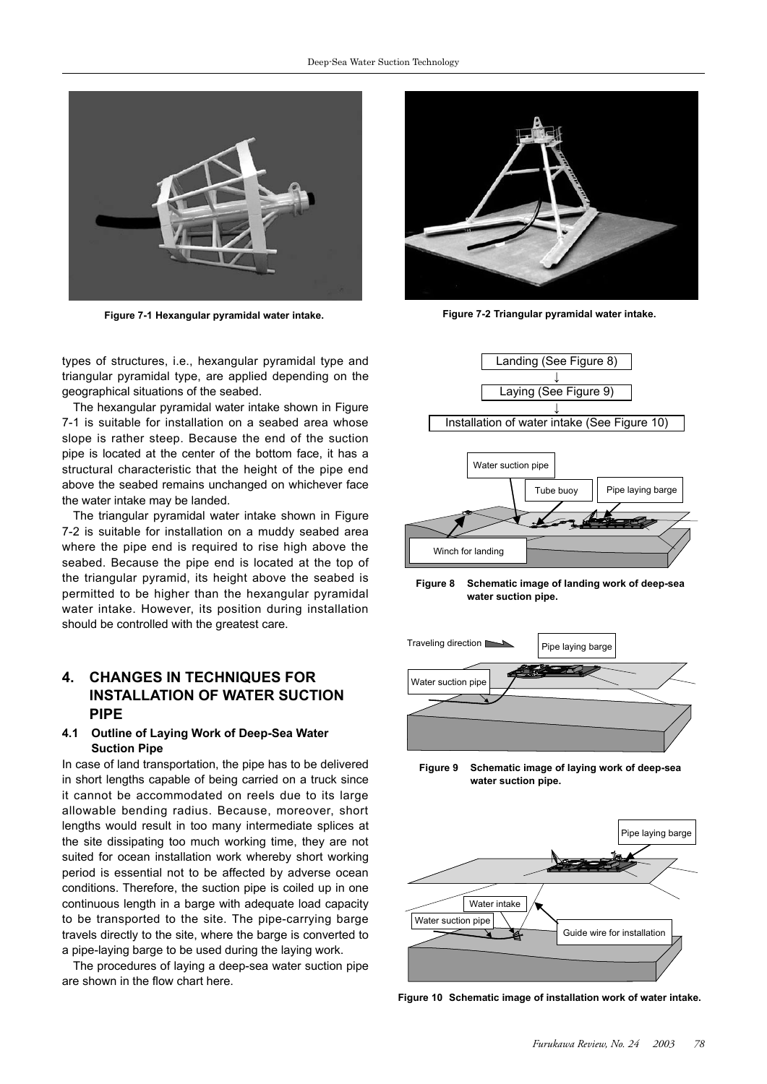

**Figure 7-1 Hexangular pyramidal water intake. Figure 7-2 Triangular pyramidal water intake.**

types of structures, i.e., hexangular pyramidal type and triangular pyramidal type, are applied depending on the geographical situations of the seabed.

The hexangular pyramidal water intake shown in Figure 7-1 is suitable for installation on a seabed area whose slope is rather steep. Because the end of the suction pipe is located at the center of the bottom face, it has a structural characteristic that the height of the pipe end above the seabed remains unchanged on whichever face the water intake may be landed.

The triangular pyramidal water intake shown in Figure 7-2 is suitable for installation on a muddy seabed area where the pipe end is required to rise high above the seabed. Because the pipe end is located at the top of the triangular pyramid, its height above the seabed is permitted to be higher than the hexangular pyramidal water intake. However, its position during installation should be controlled with the greatest care.

# **4. CHANGES IN TECHNIQUES FOR INSTALLATION OF WATER SUCTION PIPE**

## **4.1 Outline of Laying Work of Deep-Sea Water Suction Pipe**

In case of land transportation, the pipe has to be delivered in short lengths capable of being carried on a truck since it cannot be accommodated on reels due to its large allowable bending radius. Because, moreover, short lengths would result in too many intermediate splices at the site dissipating too much working time, they are not suited for ocean installation work whereby short working period is essential not to be affected by adverse ocean conditions. Therefore, the suction pipe is coiled up in one continuous length in a barge with adequate load capacity to be transported to the site. The pipe-carrying barge travels directly to the site, where the barge is converted to a pipe-laying barge to be used during the laying work.

The procedures of laying a deep-sea water suction pipe are shown in the flow chart here.





**Figure 8 Schematic image of landing work of deep-sea water suction pipe.**



**Figure 9 Schematic image of laying work of deep-sea water suction pipe.**



**Figure 10 Schematic image of installation work of water intake.**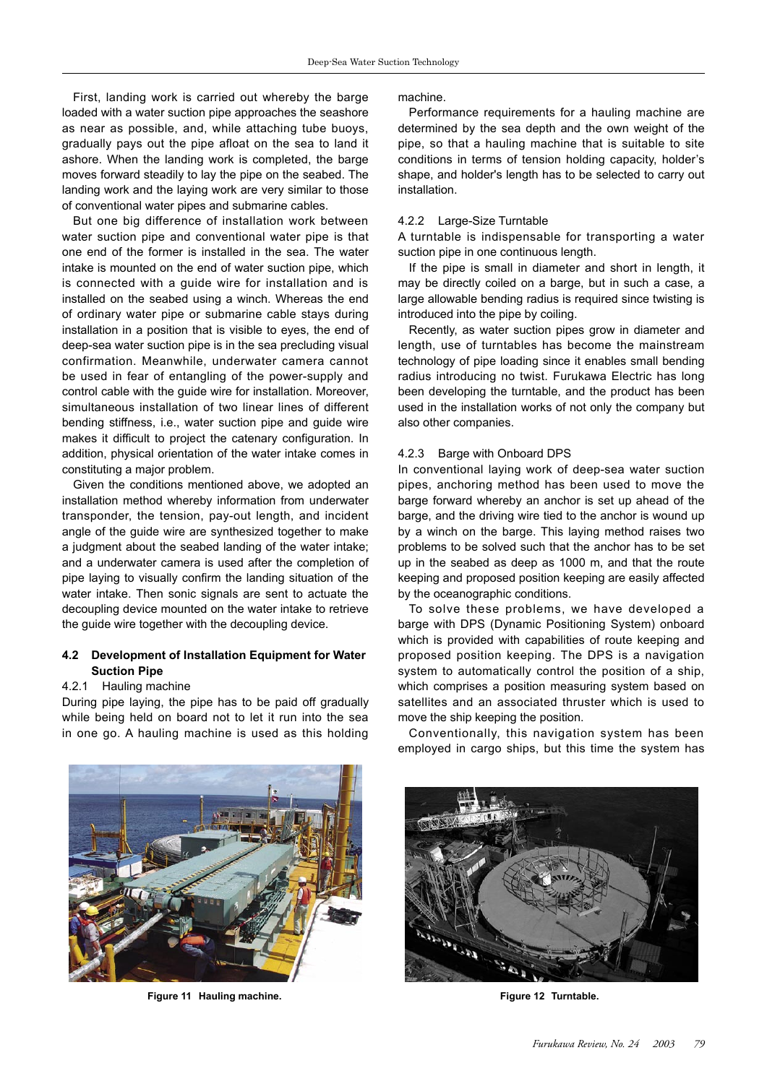First, landing work is carried out whereby the barge loaded with a water suction pipe approaches the seashore as near as possible, and, while attaching tube buoys, gradually pays out the pipe afloat on the sea to land it ashore. When the landing work is completed, the barge moves forward steadily to lay the pipe on the seabed. The landing work and the laying work are very similar to those of conventional water pipes and submarine cables.

But one big difference of installation work between water suction pipe and conventional water pipe is that one end of the former is installed in the sea. The water intake is mounted on the end of water suction pipe, which is connected with a guide wire for installation and is installed on the seabed using a winch. Whereas the end of ordinary water pipe or submarine cable stays during installation in a position that is visible to eyes, the end of deep-sea water suction pipe is in the sea precluding visual confirmation. Meanwhile, underwater camera cannot be used in fear of entangling of the power-supply and control cable with the guide wire for installation. Moreover, simultaneous installation of two linear lines of different bending stiffness, i.e., water suction pipe and guide wire makes it difficult to project the catenary configuration. In addition, physical orientation of the water intake comes in constituting a major problem.

Given the conditions mentioned above, we adopted an installation method whereby information from underwater transponder, the tension, pay-out length, and incident angle of the guide wire are synthesized together to make a judgment about the seabed landing of the water intake; and a underwater camera is used after the completion of pipe laying to visually confirm the landing situation of the water intake. Then sonic signals are sent to actuate the decoupling device mounted on the water intake to retrieve the guide wire together with the decoupling device.

## **4.2 Development of Installation Equipment for Water Suction Pipe**

#### 4.2.1 Hauling machine

During pipe laying, the pipe has to be paid off gradually while being held on board not to let it run into the sea in one go. A hauling machine is used as this holding

#### machine.

Performance requirements for a hauling machine are determined by the sea depth and the own weight of the pipe, so that a hauling machine that is suitable to site conditions in terms of tension holding capacity, holder's shape, and holder's length has to be selected to carry out installation.

### 4.2.2 Large-Size Turntable

A turntable is indispensable for transporting a water suction pipe in one continuous length.

If the pipe is small in diameter and short in length, it may be directly coiled on a barge, but in such a case, a large allowable bending radius is required since twisting is introduced into the pipe by coiling.

Recently, as water suction pipes grow in diameter and length, use of turntables has become the mainstream technology of pipe loading since it enables small bending radius introducing no twist. Furukawa Electric has long been developing the turntable, and the product has been used in the installation works of not only the company but also other companies.

#### 4.2.3 Barge with Onboard DPS

In conventional laying work of deep-sea water suction pipes, anchoring method has been used to move the barge forward whereby an anchor is set up ahead of the barge, and the driving wire tied to the anchor is wound up by a winch on the barge. This laying method raises two problems to be solved such that the anchor has to be set up in the seabed as deep as 1000 m, and that the route keeping and proposed position keeping are easily affected by the oceanographic conditions.

To solve these problems, we have developed a barge with DPS (Dynamic Positioning System) onboard which is provided with capabilities of route keeping and proposed position keeping. The DPS is a navigation system to automatically control the position of a ship, which comprises a position measuring system based on satellites and an associated thruster which is used to move the ship keeping the position.

Conventionally, this navigation system has been employed in cargo ships, but this time the system has



**Figure 11 Hauling machine. Figure 12 Turntable.**